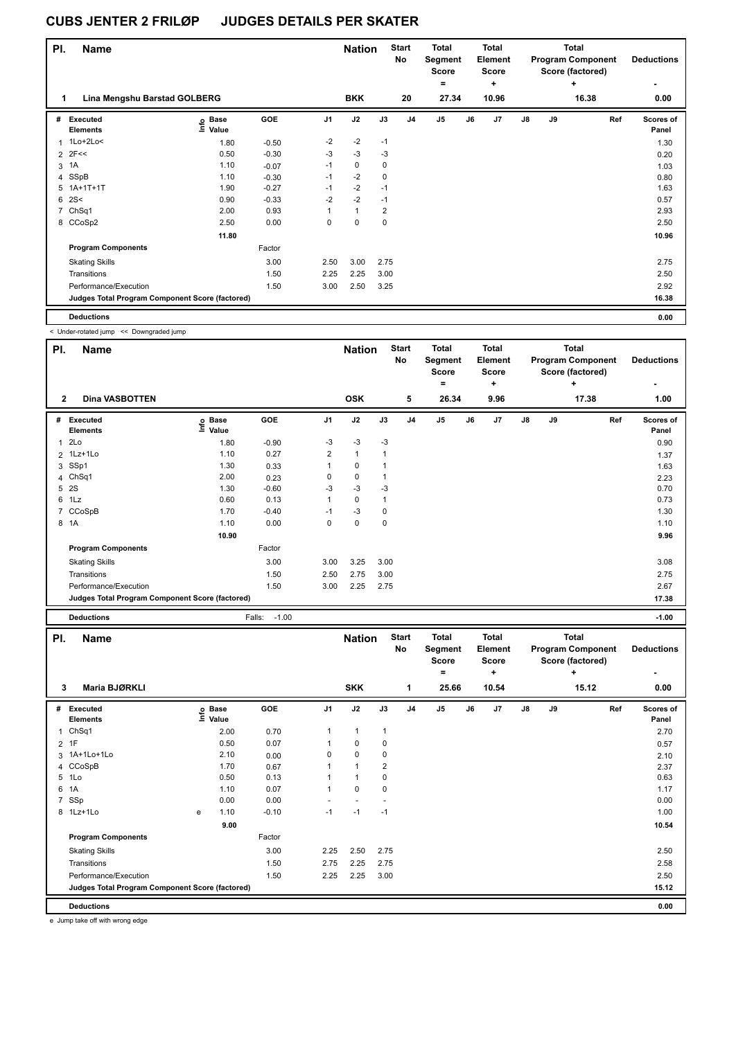| PI. | <b>Name</b>                                     |                                  |         | <b>Nation</b> |              | <b>Start</b><br>No | <b>Total</b><br>Segment<br><b>Score</b> |                | <b>Total</b><br>Element<br>Score |       |               | <b>Total</b><br><b>Program Component</b><br>Score (factored) | <b>Deductions</b> |                    |
|-----|-------------------------------------------------|----------------------------------|---------|---------------|--------------|--------------------|-----------------------------------------|----------------|----------------------------------|-------|---------------|--------------------------------------------------------------|-------------------|--------------------|
|     |                                                 |                                  |         |               |              |                    |                                         | $=$            |                                  | ٠     |               |                                                              | $\ddot{}$         |                    |
| 1   | Lina Mengshu Barstad GOLBERG                    |                                  |         |               | <b>BKK</b>   |                    | 20                                      | 27.34          |                                  | 10.96 |               |                                                              | 16.38             | 0.00               |
| #   | Executed<br><b>Elements</b>                     | <b>Base</b><br>o Base<br>⊆ Value | GOE     | J1            | J2           | J3                 | J <sub>4</sub>                          | J <sub>5</sub> | J6                               | J7    | $\mathsf{J}8$ | J9                                                           | Ref               | Scores of<br>Panel |
|     | 1 1Lo+2Lo<                                      | 1.80                             | $-0.50$ | $-2$          | $-2$         | $-1$               |                                         |                |                                  |       |               |                                                              |                   | 1.30               |
|     | $2$ 2F<<                                        | 0.50                             | $-0.30$ | $-3$          | $-3$         | $-3$               |                                         |                |                                  |       |               |                                                              |                   | 0.20               |
| 3   | 1A                                              | 1.10                             | $-0.07$ | $-1$          | 0            | 0                  |                                         |                |                                  |       |               |                                                              |                   | 1.03               |
| 4   | SSpB                                            | 1.10                             | $-0.30$ | $-1$          | $-2$         | 0                  |                                         |                |                                  |       |               |                                                              |                   | 0.80               |
| 5   | 1A+1T+1T                                        | 1.90                             | $-0.27$ | $-1$          | $-2$         | $-1$               |                                         |                |                                  |       |               |                                                              |                   | 1.63               |
| 6   | 2S<                                             | 0.90                             | $-0.33$ | $-2$          | $-2$         | $-1$               |                                         |                |                                  |       |               |                                                              |                   | 0.57               |
| 7   | ChSq1                                           | 2.00                             | 0.93    |               | $\mathbf{1}$ | 2                  |                                         |                |                                  |       |               |                                                              |                   | 2.93               |
|     | 8 CCoSp2                                        | 2.50                             | 0.00    | 0             | 0            | 0                  |                                         |                |                                  |       |               |                                                              |                   | 2.50               |
|     |                                                 | 11.80                            |         |               |              |                    |                                         |                |                                  |       |               |                                                              |                   | 10.96              |
|     | <b>Program Components</b>                       |                                  | Factor  |               |              |                    |                                         |                |                                  |       |               |                                                              |                   |                    |
|     | <b>Skating Skills</b>                           |                                  | 3.00    | 2.50          | 3.00         | 2.75               |                                         |                |                                  |       |               |                                                              |                   | 2.75               |
|     | Transitions                                     |                                  | 1.50    | 2.25          | 2.25         | 3.00               |                                         |                |                                  |       |               |                                                              |                   | 2.50               |
|     | Performance/Execution                           |                                  | 1.50    | 3.00          | 2.50         | 3.25               |                                         |                |                                  |       |               |                                                              |                   | 2.92               |
|     | Judges Total Program Component Score (factored) |                                  |         |               |              |                    |                                         |                |                                  |       |               |                                                              |                   | 16.38              |
|     | <b>Deductions</b>                               |                                  |         |               |              |                    |                                         |                |                                  |       |               |                                                              |                   | 0.00               |

< Under-rotated jump << Downgraded jump

| PI.            | <b>OTIOCI TORREG JUITP</b><br>Dominjiaaca jump<br><b>Name</b> |                   |                   |                | <b>Nation</b> |             | <b>Start</b><br><b>No</b> | <b>Total</b><br><b>Segment</b> | <b>Total</b><br>Element |               |    | <b>Total</b><br><b>Program Component</b> | <b>Deductions</b>  |
|----------------|---------------------------------------------------------------|-------------------|-------------------|----------------|---------------|-------------|---------------------------|--------------------------------|-------------------------|---------------|----|------------------------------------------|--------------------|
|                |                                                               |                   |                   |                |               |             |                           | <b>Score</b>                   | <b>Score</b>            |               |    | Score (factored)                         |                    |
|                |                                                               |                   |                   |                |               |             |                           | $\equiv$                       | ٠                       |               |    | ۰.                                       |                    |
| $\overline{2}$ | <b>Dina VASBOTTEN</b>                                         |                   |                   |                | <b>OSK</b>    |             | 5                         | 26.34                          | 9.96                    |               |    | 17.38                                    | 1.00               |
| #              | Executed<br><b>Elements</b>                                   | e Base<br>⊆ Value | GOE               | J <sub>1</sub> | J2            | J3          | J <sub>4</sub>            | $\mathsf{J}5$                  | J6<br>J7                | $\mathsf{J}8$ | J9 | Ref                                      | Scores of<br>Panel |
| $\mathbf{1}$   | 2Lo                                                           | 1.80              | $-0.90$           | $-3$           | -3            | $-3$        |                           |                                |                         |               |    |                                          | 0.90               |
|                | 2 1Lz+1Lo                                                     | 1.10              | 0.27              | 2              | $\mathbf{1}$  | 1           |                           |                                |                         |               |    |                                          | 1.37               |
| 3              | SSp1                                                          | 1.30              | 0.33              | $\mathbf{1}$   | $\pmb{0}$     | 1           |                           |                                |                         |               |    |                                          | 1.63               |
| 4              | Ch <sub>Sq1</sub>                                             | 2.00              | 0.23              | 0              | 0             | 1           |                           |                                |                         |               |    |                                          | 2.23               |
| 5              | 2S                                                            | 1.30              | $-0.60$           | $-3$           | $-3$          | $-3$        |                           |                                |                         |               |    |                                          | 0.70               |
| 6              | 1Lz                                                           | 0.60              | 0.13              | $\mathbf{1}$   | $\Omega$      | 1           |                           |                                |                         |               |    |                                          | 0.73               |
| $\overline{7}$ | CCoSpB                                                        | 1.70              | $-0.40$           | $-1$           | -3            | 0           |                           |                                |                         |               |    |                                          | 1.30               |
|                | 8 1A                                                          | 1.10              | 0.00              | 0              | $\mathbf 0$   | $\mathbf 0$ |                           |                                |                         |               |    |                                          | 1.10               |
|                |                                                               | 10.90             |                   |                |               |             |                           |                                |                         |               |    |                                          | 9.96               |
|                | <b>Program Components</b>                                     |                   | Factor            |                |               |             |                           |                                |                         |               |    |                                          |                    |
|                | <b>Skating Skills</b>                                         |                   | 3.00              | 3.00           | 3.25          | 3.00        |                           |                                |                         |               |    |                                          | 3.08               |
|                | Transitions                                                   |                   | 1.50              | 2.50           | 2.75          | 3.00        |                           |                                |                         |               |    |                                          | 2.75               |
|                | Performance/Execution                                         |                   | 1.50              | 3.00           | 2.25          | 2.75        |                           |                                |                         |               |    |                                          | 2.67               |
|                | Judges Total Program Component Score (factored)               |                   |                   |                |               |             |                           |                                |                         |               |    |                                          | 17.38              |
|                |                                                               |                   |                   |                |               |             |                           |                                |                         |               |    |                                          |                    |
|                | <b>Deductions</b>                                             |                   | $-1.00$<br>Falls: |                |               |             |                           |                                |                         |               |    |                                          | $-1.00$            |
| PI.            | Name                                                          |                   |                   |                | <b>Nation</b> |             | <b>Start</b>              | <b>Total</b>                   | <b>Total</b>            |               |    | <b>Total</b>                             |                    |
|                |                                                               |                   |                   |                |               |             | <b>No</b>                 | Segment                        | Element                 |               |    | <b>Program Component</b>                 | <b>Deductions</b>  |
|                |                                                               |                   |                   |                |               |             |                           | <b>Score</b>                   | <b>Score</b>            |               |    | Score (factored)                         |                    |
|                |                                                               |                   |                   |                |               |             |                           | $\equiv$                       | ÷                       |               |    | ÷                                        |                    |
| 3              | Maria BJØRKLI                                                 |                   |                   |                | <b>SKK</b>    |             | 1                         | 25.66                          | 10.54                   |               |    | 15.12                                    | 0.00               |
| #              | Executed                                                      |                   | GOE               | J <sub>1</sub> | J2            | J3          | J <sub>4</sub>            | $\mathsf{J}5$                  | J6<br>J <sub>7</sub>    | $\mathsf{J}8$ | J9 | Ref                                      | Scores of          |
|                | Elements                                                      | e Base<br>E Value |                   |                |               |             |                           |                                |                         |               |    |                                          | Panel              |
| 1              | ChSq1                                                         | 2.00              | 0.70              | 1              | $\mathbf{1}$  | 1           |                           |                                |                         |               |    |                                          | 2.70               |
|                | $2$ 1F                                                        | 0.50              | 0.07              | 1              | 0             | 0           |                           |                                |                         |               |    |                                          | 0.57               |
|                | 3 1A+1Lo+1Lo                                                  | 2.10              | 0.00              | 0              | 0             | 0           |                           |                                |                         |               |    |                                          | 2.10               |
| 4              | CCoSpB                                                        | 1.70              | 0.67              | 1              | $\mathbf{1}$  | 2           |                           |                                |                         |               |    |                                          | 2.37               |
|                | 5 1Lo                                                         | 0.50              | 0.13              | $\mathbf{1}$   | $\mathbf{1}$  | 0           |                           |                                |                         |               |    |                                          | 0.63               |

6 1A 1.10 0.07 1 0 0 1.17 7 SSp 0.00 0.00 - - - 0.00 8 1Lz+1Lo e 1.10 -0.10 -1 -1 -1 1.00 **9.00** 10.54 **Program Components**  Skating Skills 2.25 2.50 2.75 3.00 2.50 Factor Transitions 1.50 2.75 2.25 2.75 2.58 Performance/Execution 1.50 2.25 2.25 3.00 2.50 **Deductions 0.00 Judges Total Program Component Score (factored) 15.12**

e Jump take off with wrong edge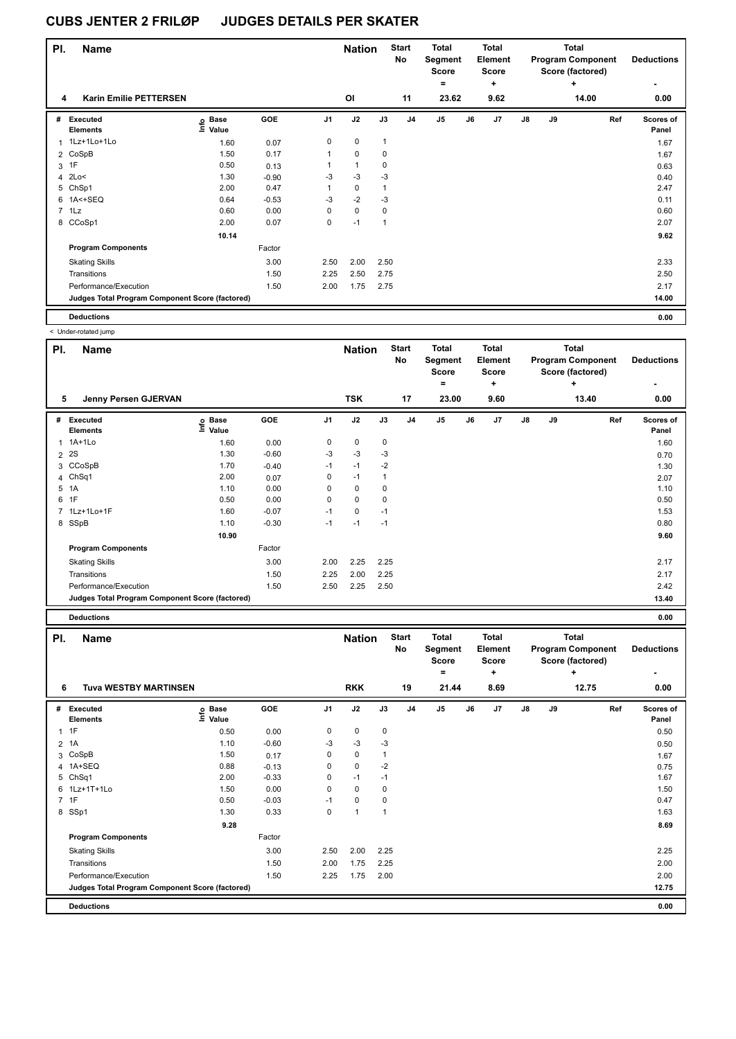| PI. | <b>Name</b>                                     |                   |         | <b>Nation</b>  |              | <b>Start</b><br>No | <b>Total</b><br>Segment<br><b>Score</b> |                | <b>Total</b><br>Element<br>Score |      |               | <b>Total</b><br><b>Program Component</b><br>Score (factored) | <b>Deductions</b> |                    |
|-----|-------------------------------------------------|-------------------|---------|----------------|--------------|--------------------|-----------------------------------------|----------------|----------------------------------|------|---------------|--------------------------------------------------------------|-------------------|--------------------|
|     |                                                 |                   |         |                |              |                    |                                         | $\equiv$       |                                  | ÷    |               |                                                              | ٠                 | ٠                  |
| 4   | <b>Karin Emilie PETTERSEN</b>                   |                   |         |                | OI           |                    | 11                                      | 23.62          |                                  | 9.62 |               |                                                              | 14.00             | 0.00               |
| #   | Executed<br><b>Elements</b>                     | e Base<br>⊆ Value | GOE     | J <sub>1</sub> | J2           | J3                 | J <sub>4</sub>                          | J <sub>5</sub> | J6                               | J7   | $\mathsf{J}8$ | J9                                                           | Ref               | Scores of<br>Panel |
|     | 1 1Lz+1Lo+1Lo                                   | 1.60              | 0.07    | 0              | 0            | $\mathbf{1}$       |                                         |                |                                  |      |               |                                                              |                   | 1.67               |
|     | 2 CoSpB                                         | 1.50              | 0.17    | 1              | $\mathbf 0$  | 0                  |                                         |                |                                  |      |               |                                                              |                   | 1.67               |
|     | $3$ 1F                                          | 0.50              | 0.13    |                | $\mathbf{1}$ | 0                  |                                         |                |                                  |      |               |                                                              |                   | 0.63               |
| 4   | 2Lo<                                            | 1.30              | $-0.90$ | $-3$           | $-3$         | $-3$               |                                         |                |                                  |      |               |                                                              |                   | 0.40               |
| 5   | ChSp1                                           | 2.00              | 0.47    | 1              | $\pmb{0}$    | 1                  |                                         |                |                                  |      |               |                                                              |                   | 2.47               |
|     | 6 1A<+SEQ                                       | 0.64              | $-0.53$ | $-3$           | $-2$         | $-3$               |                                         |                |                                  |      |               |                                                              |                   | 0.11               |
|     | 7 1Lz                                           | 0.60              | 0.00    | 0              | $\pmb{0}$    | 0                  |                                         |                |                                  |      |               |                                                              |                   | 0.60               |
|     | 8 CCoSp1                                        | 2.00              | 0.07    | 0              | $-1$         | 1                  |                                         |                |                                  |      |               |                                                              |                   | 2.07               |
|     |                                                 | 10.14             |         |                |              |                    |                                         |                |                                  |      |               |                                                              |                   | 9.62               |
|     | <b>Program Components</b>                       |                   | Factor  |                |              |                    |                                         |                |                                  |      |               |                                                              |                   |                    |
|     | <b>Skating Skills</b>                           |                   | 3.00    | 2.50           | 2.00         | 2.50               |                                         |                |                                  |      |               |                                                              |                   | 2.33               |
|     | Transitions                                     |                   | 1.50    | 2.25           | 2.50         | 2.75               |                                         |                |                                  |      |               |                                                              |                   | 2.50               |
|     | Performance/Execution                           |                   | 1.50    | 2.00           | 1.75         | 2.75               |                                         |                |                                  |      |               |                                                              |                   | 2.17               |
|     | Judges Total Program Component Score (factored) |                   |         |                |              |                    |                                         |                |                                  |      |               |                                                              |                   | 14.00              |
|     | <b>Deductions</b>                               |                   |         |                |              |                    |                                         |                |                                  |      |               |                                                              |                   | 0.00               |

< Under-rotated jump

| PI.            | <b>Name</b>                                     |                   |            |                | <b>Nation</b> |      | <b>Start</b><br>No | <b>Total</b><br>Segment<br><b>Score</b> |    | <b>Total</b><br>Element<br><b>Score</b> |               |    | <b>Total</b><br><b>Program Component</b><br>Score (factored) | <b>Deductions</b>  |
|----------------|-------------------------------------------------|-------------------|------------|----------------|---------------|------|--------------------|-----------------------------------------|----|-----------------------------------------|---------------|----|--------------------------------------------------------------|--------------------|
|                |                                                 |                   |            |                |               |      |                    | ۰                                       |    | ٠                                       |               |    | ÷                                                            |                    |
| 5              | Jenny Persen GJERVAN                            |                   |            |                | <b>TSK</b>    |      | 17                 | 23.00                                   |    | 9.60                                    |               |    | 13.40                                                        | 0.00               |
| #              | Executed<br><b>Elements</b>                     | e Base<br>⊑ Value | <b>GOE</b> | J <sub>1</sub> | J2            | J3   | J <sub>4</sub>     | J <sub>5</sub>                          | J6 | J <sub>7</sub>                          | $\mathsf{J}8$ | J9 | Ref                                                          | Scores of<br>Panel |
| 1              | 1A+1Lo                                          | 1.60              | 0.00       | 0              | 0             | 0    |                    |                                         |    |                                         |               |    |                                                              | 1.60               |
| 2              | 2S                                              | 1.30              | $-0.60$    | -3             | $-3$          | $-3$ |                    |                                         |    |                                         |               |    |                                                              | 0.70               |
|                | 3 CCoSpB                                        | 1.70              | $-0.40$    | $-1$           | $-1$          | $-2$ |                    |                                         |    |                                         |               |    |                                                              | 1.30               |
|                | 4 ChSq1                                         | 2.00              | 0.07       | 0              | $-1$          |      |                    |                                         |    |                                         |               |    |                                                              | 2.07               |
| 5              | 1A                                              | 1.10              | 0.00       | 0              | 0             | 0    |                    |                                         |    |                                         |               |    |                                                              | 1.10               |
| 6              | 1F                                              | 0.50              | 0.00       | 0              | $\mathbf 0$   | 0    |                    |                                         |    |                                         |               |    |                                                              | 0.50               |
| $\overline{7}$ | 1Lz+1Lo+1F                                      | 1.60              | $-0.07$    | $-1$           | $\mathbf 0$   | $-1$ |                    |                                         |    |                                         |               |    |                                                              | 1.53               |
|                | 8 SSpB                                          | 1.10              | $-0.30$    | $-1$           | $-1$          | $-1$ |                    |                                         |    |                                         |               |    |                                                              | 0.80               |
|                |                                                 | 10.90             |            |                |               |      |                    |                                         |    |                                         |               |    |                                                              | 9.60               |
|                | <b>Program Components</b>                       |                   | Factor     |                |               |      |                    |                                         |    |                                         |               |    |                                                              |                    |
|                | <b>Skating Skills</b>                           |                   | 3.00       | 2.00           | 2.25          | 2.25 |                    |                                         |    |                                         |               |    |                                                              | 2.17               |
|                | Transitions                                     |                   | 1.50       | 2.25           | 2.00          | 2.25 |                    |                                         |    |                                         |               |    |                                                              | 2.17               |
|                | Performance/Execution                           |                   | 1.50       | 2.50           | 2.25          | 2.50 |                    |                                         |    |                                         |               |    |                                                              | 2.42               |
|                | Judges Total Program Component Score (factored) |                   |            |                |               |      |                    |                                         |    |                                         |               |    |                                                              | 13.40              |
|                | <b>Deductions</b>                               |                   |            |                |               |      |                    |                                         |    |                                         |               |    |                                                              | 0.00               |

| PI.            | <b>Name</b>                                     |                              |         |                | <b>Nation</b> |      | <b>Start</b><br>No | <b>Total</b><br>Segment<br><b>Score</b><br>= |    | <b>Total</b><br>Element<br>Score<br>٠ |               |    | <b>Total</b><br><b>Program Component</b><br>Score (factored)<br>٠ | <b>Deductions</b>  |
|----------------|-------------------------------------------------|------------------------------|---------|----------------|---------------|------|--------------------|----------------------------------------------|----|---------------------------------------|---------------|----|-------------------------------------------------------------------|--------------------|
| 6              | <b>Tuva WESTBY MARTINSEN</b>                    |                              |         |                | <b>RKK</b>    |      | 19                 | 21.44                                        |    | 8.69                                  |               |    | 12.75                                                             | 0.00               |
| #              | Executed<br><b>Elements</b>                     | <b>Base</b><br>١nf٥<br>Value | GOE     | J <sub>1</sub> | J2            | J3   | J <sub>4</sub>     | J <sub>5</sub>                               | J6 | J7                                    | $\mathsf{J}8$ | J9 | Ref                                                               | Scores of<br>Panel |
| 1              | 1F                                              | 0.50                         | 0.00    | 0              | $\mathbf 0$   | 0    |                    |                                              |    |                                       |               |    |                                                                   | 0.50               |
| 2              | 1A                                              | 1.10                         | $-0.60$ | $-3$           | $-3$          | $-3$ |                    |                                              |    |                                       |               |    |                                                                   | 0.50               |
| 3              | CoSpB                                           | 1.50                         | 0.17    | 0              | $\mathbf 0$   | 1    |                    |                                              |    |                                       |               |    |                                                                   | 1.67               |
| 4              | 1A+SEQ                                          | 0.88                         | $-0.13$ | 0              | $\mathbf 0$   | $-2$ |                    |                                              |    |                                       |               |    |                                                                   | 0.75               |
|                | 5 ChSq1                                         | 2.00                         | $-0.33$ | 0              | $-1$          | $-1$ |                    |                                              |    |                                       |               |    |                                                                   | 1.67               |
|                | 6 1Lz+1T+1Lo                                    | 1.50                         | 0.00    | 0              | 0             | 0    |                    |                                              |    |                                       |               |    |                                                                   | 1.50               |
| $\overline{7}$ | 1F                                              | 0.50                         | $-0.03$ | $-1$           | 0             | 0    |                    |                                              |    |                                       |               |    |                                                                   | 0.47               |
| 8              | SSp1                                            | 1.30                         | 0.33    | 0              | 1             | 1    |                    |                                              |    |                                       |               |    |                                                                   | 1.63               |
|                |                                                 | 9.28                         |         |                |               |      |                    |                                              |    |                                       |               |    |                                                                   | 8.69               |
|                | <b>Program Components</b>                       |                              | Factor  |                |               |      |                    |                                              |    |                                       |               |    |                                                                   |                    |
|                | <b>Skating Skills</b>                           |                              | 3.00    | 2.50           | 2.00          | 2.25 |                    |                                              |    |                                       |               |    |                                                                   | 2.25               |
|                | Transitions                                     |                              | 1.50    | 2.00           | 1.75          | 2.25 |                    |                                              |    |                                       |               |    |                                                                   | 2.00               |
|                | Performance/Execution                           |                              | 1.50    | 2.25           | 1.75          | 2.00 |                    |                                              |    |                                       |               |    |                                                                   | 2.00               |
|                | Judges Total Program Component Score (factored) |                              |         |                |               |      |                    |                                              |    |                                       |               |    |                                                                   | 12.75              |
|                | <b>Deductions</b>                               |                              |         |                |               |      |                    |                                              |    |                                       |               |    |                                                                   | 0.00               |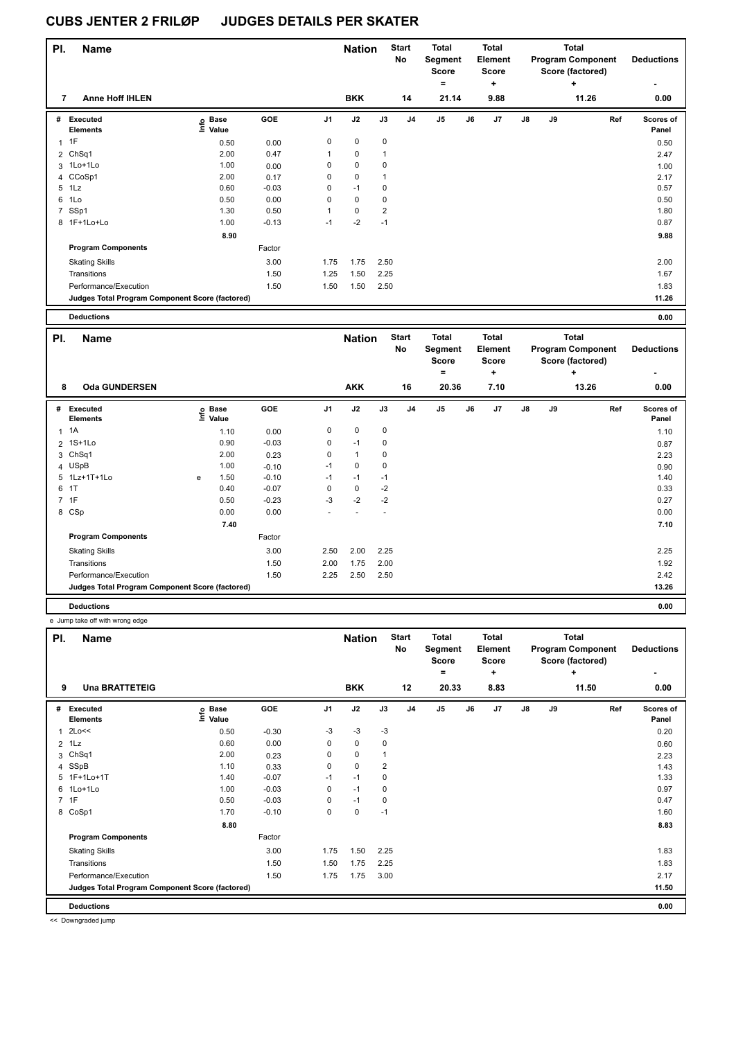| PI. | <b>Name</b>                                     |                   |         |                | <b>Nation</b> |                | <b>Start</b><br>No | <b>Total</b><br>Segment<br>Score<br>$\equiv$ |    | <b>Total</b><br>Element<br>Score<br>٠ |               |    | <b>Total</b><br><b>Program Component</b><br>Score (factored)<br>÷ | <b>Deductions</b>         |
|-----|-------------------------------------------------|-------------------|---------|----------------|---------------|----------------|--------------------|----------------------------------------------|----|---------------------------------------|---------------|----|-------------------------------------------------------------------|---------------------------|
| 7   | <b>Anne Hoff IHLEN</b>                          |                   |         |                | <b>BKK</b>    |                | 14                 | 21.14                                        |    | 9.88                                  |               |    | 11.26                                                             | 0.00                      |
| #   | Executed<br><b>Elements</b>                     | e Base<br>⊆ Value | GOE     | J <sub>1</sub> | J2            | J3             | J4                 | J <sub>5</sub>                               | J6 | J7                                    | $\mathsf{J}8$ | J9 | Ref                                                               | <b>Scores of</b><br>Panel |
|     | $1$ 1F                                          | 0.50              | 0.00    | 0              | $\mathbf 0$   | $\pmb{0}$      |                    |                                              |    |                                       |               |    |                                                                   | 0.50                      |
|     | 2 ChSq1                                         | 2.00              | 0.47    | 1              | $\mathbf 0$   | $\overline{1}$ |                    |                                              |    |                                       |               |    |                                                                   | 2.47                      |
|     | 3 1Lo+1Lo                                       | 1.00              | 0.00    | 0              | $\mathbf 0$   | 0              |                    |                                              |    |                                       |               |    |                                                                   | 1.00                      |
|     | 4 CCoSp1                                        | 2.00              | 0.17    | 0              | $\mathbf 0$   | 1              |                    |                                              |    |                                       |               |    |                                                                   | 2.17                      |
| 5   | 1Lz                                             | 0.60              | $-0.03$ | 0              | $-1$          | 0              |                    |                                              |    |                                       |               |    |                                                                   | 0.57                      |
| 6   | 1Lo                                             | 0.50              | 0.00    | 0              | $\mathbf 0$   | 0              |                    |                                              |    |                                       |               |    |                                                                   | 0.50                      |
| 7   | SSp1                                            | 1.30              | 0.50    | 1              | $\mathbf 0$   | $\overline{2}$ |                    |                                              |    |                                       |               |    |                                                                   | 1.80                      |
|     | 8 1F+1Lo+Lo                                     | 1.00              | $-0.13$ | $-1$           | $-2$          | $-1$           |                    |                                              |    |                                       |               |    |                                                                   | 0.87                      |
|     |                                                 | 8.90              |         |                |               |                |                    |                                              |    |                                       |               |    |                                                                   | 9.88                      |
|     | <b>Program Components</b>                       |                   | Factor  |                |               |                |                    |                                              |    |                                       |               |    |                                                                   |                           |
|     | <b>Skating Skills</b>                           |                   | 3.00    | 1.75           | 1.75          | 2.50           |                    |                                              |    |                                       |               |    |                                                                   | 2.00                      |
|     | Transitions                                     |                   | 1.50    | 1.25           | 1.50          | 2.25           |                    |                                              |    |                                       |               |    |                                                                   | 1.67                      |
|     | Performance/Execution                           |                   | 1.50    | 1.50           | 1.50          | 2.50           |                    |                                              |    |                                       |               |    |                                                                   | 1.83                      |
|     | Judges Total Program Component Score (factored) |                   |         |                |               |                |                    |                                              |    |                                       |               |    |                                                                   | 11.26                     |

| <b>Deductions</b> |  | 0.00 |
|-------------------|--|------|
|                   |  |      |

| PI. | <b>Name</b>                                     |   |                            |            |                | <b>Nation</b>  |             | <b>Start</b><br>No | Total<br>Segment<br><b>Score</b><br>۰ |    | <b>Total</b><br>Element<br><b>Score</b><br>÷ |               |    | <b>Total</b><br><b>Program Component</b><br>Score (factored)<br>÷ | <b>Deductions</b>  |
|-----|-------------------------------------------------|---|----------------------------|------------|----------------|----------------|-------------|--------------------|---------------------------------------|----|----------------------------------------------|---------------|----|-------------------------------------------------------------------|--------------------|
| 8   | <b>Oda GUNDERSEN</b>                            |   |                            |            |                | <b>AKK</b>     |             | 16                 | 20.36                                 |    | 7.10                                         |               |    | 13.26                                                             | 0.00               |
| #   | Executed<br><b>Elements</b>                     |   | e Base<br>E Value<br>Value | <b>GOE</b> | J <sub>1</sub> | J2             | J3          | J <sub>4</sub>     | J <sub>5</sub>                        | J6 | J7                                           | $\mathsf{J}8$ | J9 | Ref                                                               | Scores of<br>Panel |
|     | $1 \t1A$                                        |   | 1.10                       | 0.00       | 0              | 0              | $\mathbf 0$ |                    |                                       |    |                                              |               |    |                                                                   | 1.10               |
|     | 2 1S+1Lo                                        |   | 0.90                       | $-0.03$    | $\Omega$       | $-1$           | $\mathbf 0$ |                    |                                       |    |                                              |               |    |                                                                   | 0.87               |
|     | 3 ChSq1                                         |   | 2.00                       | 0.23       | 0              | $\overline{1}$ | $\mathbf 0$ |                    |                                       |    |                                              |               |    |                                                                   | 2.23               |
|     | 4 USpB                                          |   | 1.00                       | $-0.10$    | $-1$           | 0              | $\mathbf 0$ |                    |                                       |    |                                              |               |    |                                                                   | 0.90               |
|     | 5 1Lz+1T+1Lo                                    | e | 1.50                       | $-0.10$    | $-1$           | $-1$           | $-1$        |                    |                                       |    |                                              |               |    |                                                                   | 1.40               |
|     | 6 1T                                            |   | 0.40                       | $-0.07$    | 0              | 0              | $-2$        |                    |                                       |    |                                              |               |    |                                                                   | 0.33               |
|     | 7 1F                                            |   | 0.50                       | $-0.23$    | $-3$           | $-2$           | $-2$        |                    |                                       |    |                                              |               |    |                                                                   | 0.27               |
|     | 8 CSp                                           |   | 0.00                       | 0.00       |                |                |             |                    |                                       |    |                                              |               |    |                                                                   | 0.00               |
|     |                                                 |   | 7.40                       |            |                |                |             |                    |                                       |    |                                              |               |    |                                                                   | 7.10               |
|     | <b>Program Components</b>                       |   |                            | Factor     |                |                |             |                    |                                       |    |                                              |               |    |                                                                   |                    |
|     | <b>Skating Skills</b>                           |   |                            | 3.00       | 2.50           | 2.00           | 2.25        |                    |                                       |    |                                              |               |    |                                                                   | 2.25               |
|     | Transitions                                     |   |                            | 1.50       | 2.00           | 1.75           | 2.00        |                    |                                       |    |                                              |               |    |                                                                   | 1.92               |
|     | Performance/Execution                           |   |                            | 1.50       | 2.25           | 2.50           | 2.50        |                    |                                       |    |                                              |               |    |                                                                   | 2.42               |
|     | Judges Total Program Component Score (factored) |   |                            |            |                |                |             |                    |                                       |    |                                              |               |    |                                                                   | 13.26              |
|     | <b>Deductions</b>                               |   |                            |            |                |                |             |                    |                                       |    |                                              |               |    |                                                                   | 0.00               |

e Jump take off with wrong edge

| PI. | <b>Name</b>                                     |                            |         |          | <b>Nation</b> |      | <b>Start</b><br>No | Total<br>Segment<br><b>Score</b><br>٠ |    | <b>Total</b><br>Element<br><b>Score</b><br>÷ |    |    | <b>Total</b><br><b>Program Component</b><br>Score (factored)<br>٠ | <b>Deductions</b>         |
|-----|-------------------------------------------------|----------------------------|---------|----------|---------------|------|--------------------|---------------------------------------|----|----------------------------------------------|----|----|-------------------------------------------------------------------|---------------------------|
| 9   | <b>Una BRATTETEIG</b>                           |                            |         |          | <b>BKK</b>    |      | 12                 | 20.33                                 |    | 8.83                                         |    |    | 11.50                                                             | 0.00                      |
| #   | <b>Executed</b><br><b>Elements</b>              | e Base<br>E Value<br>Value | GOE     | J1       | J2            | J3   | J <sub>4</sub>     | J <sub>5</sub>                        | J6 | J7                                           | J8 | J9 | Ref                                                               | <b>Scores of</b><br>Panel |
|     | 2Lo<<                                           | 0.50                       | $-0.30$ | $-3$     | $-3$          | $-3$ |                    |                                       |    |                                              |    |    |                                                                   | 0.20                      |
|     | $2$ 1 Lz                                        | 0.60                       | 0.00    | 0        | 0             | 0    |                    |                                       |    |                                              |    |    |                                                                   | 0.60                      |
| 3   | Ch <sub>Sq1</sub>                               | 2.00                       | 0.23    | 0        | 0             |      |                    |                                       |    |                                              |    |    |                                                                   | 2.23                      |
|     | 4 SSpB                                          | 1.10                       | 0.33    | 0        | $\mathbf 0$   | 2    |                    |                                       |    |                                              |    |    |                                                                   | 1.43                      |
|     | 5 1F+1Lo+1T                                     | 1.40                       | $-0.07$ | $-1$     | $-1$          | 0    |                    |                                       |    |                                              |    |    |                                                                   | 1.33                      |
| 6   | 1Lo+1Lo                                         | 1.00                       | $-0.03$ | 0        | $-1$          | 0    |                    |                                       |    |                                              |    |    |                                                                   | 0.97                      |
|     | 7 1F                                            | 0.50                       | $-0.03$ | $\Omega$ | $-1$          | 0    |                    |                                       |    |                                              |    |    |                                                                   | 0.47                      |
|     | 8 CoSp1                                         | 1.70                       | $-0.10$ | 0        | $\mathbf 0$   | $-1$ |                    |                                       |    |                                              |    |    |                                                                   | 1.60                      |
|     |                                                 | 8.80                       |         |          |               |      |                    |                                       |    |                                              |    |    |                                                                   | 8.83                      |
|     | <b>Program Components</b>                       |                            | Factor  |          |               |      |                    |                                       |    |                                              |    |    |                                                                   |                           |
|     | <b>Skating Skills</b>                           |                            | 3.00    | 1.75     | 1.50          | 2.25 |                    |                                       |    |                                              |    |    |                                                                   | 1.83                      |
|     | Transitions                                     |                            | 1.50    | 1.50     | 1.75          | 2.25 |                    |                                       |    |                                              |    |    |                                                                   | 1.83                      |
|     | Performance/Execution                           |                            | 1.50    | 1.75     | 1.75          | 3.00 |                    |                                       |    |                                              |    |    |                                                                   | 2.17                      |
|     | Judges Total Program Component Score (factored) |                            |         |          |               |      |                    |                                       |    |                                              |    |    |                                                                   | 11.50                     |
|     | <b>Deductions</b>                               |                            |         |          |               |      |                    |                                       |    |                                              |    |    |                                                                   | 0.00                      |

<< Downgraded jump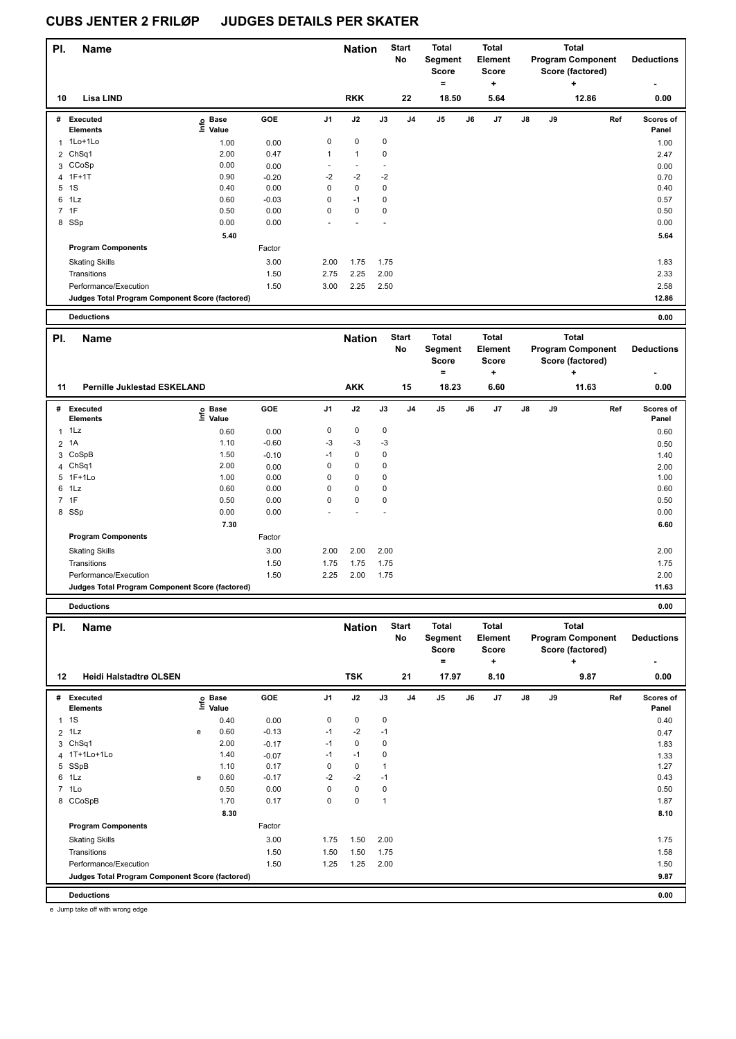| PI.            | <b>Name</b>                                     |                   |         |                          | <b>Nation</b>            |             | <b>Start</b><br>No | <b>Total</b><br>Segment<br><b>Score</b><br>= |    | <b>Total</b><br>Element<br><b>Score</b><br>÷ |    |    | <b>Total</b><br><b>Program Component</b><br>Score (factored)<br>٠ | <b>Deductions</b><br>۰ |
|----------------|-------------------------------------------------|-------------------|---------|--------------------------|--------------------------|-------------|--------------------|----------------------------------------------|----|----------------------------------------------|----|----|-------------------------------------------------------------------|------------------------|
| 10             | Lisa LIND                                       |                   |         |                          | <b>RKK</b>               |             | 22                 | 18.50                                        |    | 5.64                                         |    |    | 12.86                                                             | 0.00                   |
| #              | Executed<br><b>Elements</b>                     | e Base<br>⊆ Value | GOE     | J <sub>1</sub>           | J2                       | J3          | J <sub>4</sub>     | J <sub>5</sub>                               | J6 | J <sub>7</sub>                               | J8 | J9 | Ref                                                               | Scores of<br>Panel     |
| 1              | 1Lo+1Lo                                         | 1.00              | 0.00    | 0                        | $\mathbf 0$              | $\mathbf 0$ |                    |                                              |    |                                              |    |    |                                                                   | 1.00                   |
|                | 2 ChSq1                                         | 2.00              | 0.47    | $\mathbf{1}$             | $\overline{1}$           | $\mathbf 0$ |                    |                                              |    |                                              |    |    |                                                                   | 2.47                   |
|                | 3 CCoSp                                         | 0.00              | 0.00    | $\overline{\phantom{a}}$ | $\overline{\phantom{a}}$ |             |                    |                                              |    |                                              |    |    |                                                                   | 0.00                   |
|                | 4 1F+1T                                         | 0.90              | $-0.20$ | $-2$                     | $-2$                     | $-2$        |                    |                                              |    |                                              |    |    |                                                                   | 0.70                   |
| 5              | 1S                                              | 0.40              | 0.00    | 0                        | 0                        | 0           |                    |                                              |    |                                              |    |    |                                                                   | 0.40                   |
| 6              | 1Lz                                             | 0.60              | $-0.03$ | 0                        | $-1$                     | 0           |                    |                                              |    |                                              |    |    |                                                                   | 0.57                   |
| $\overline{7}$ | 1F                                              | 0.50              | 0.00    | 0                        | 0                        | 0           |                    |                                              |    |                                              |    |    |                                                                   | 0.50                   |
|                | 8 SSp                                           | 0.00              | 0.00    |                          |                          |             |                    |                                              |    |                                              |    |    |                                                                   | 0.00                   |
|                |                                                 | 5.40              |         |                          |                          |             |                    |                                              |    |                                              |    |    |                                                                   | 5.64                   |
|                | <b>Program Components</b>                       |                   | Factor  |                          |                          |             |                    |                                              |    |                                              |    |    |                                                                   |                        |
|                | <b>Skating Skills</b>                           |                   | 3.00    | 2.00                     | 1.75                     | 1.75        |                    |                                              |    |                                              |    |    |                                                                   | 1.83                   |
|                | Transitions                                     |                   | 1.50    | 2.75                     | 2.25                     | 2.00        |                    |                                              |    |                                              |    |    |                                                                   | 2.33                   |
|                | Performance/Execution                           |                   | 1.50    | 3.00                     | 2.25                     | 2.50        |                    |                                              |    |                                              |    |    |                                                                   | 2.58                   |
|                | Judges Total Program Component Score (factored) |                   |         |                          |                          |             |                    |                                              |    |                                              |    |    |                                                                   | 12.86                  |
|                | <b>Deductions</b>                               |                   |         |                          |                          |             |                    |                                              |    |                                              |    |    |                                                                   | 0.00                   |

| PI. | <b>Name</b>                                     |                            |         | <b>Nation</b> |            | <b>Start</b><br>No | <b>Total</b><br>Segment<br>Score<br>= |                | <b>Total</b><br>Element<br>Score<br>٠ |      |               | <b>Total</b><br><b>Program Component</b><br>Score (factored)<br>÷ | <b>Deductions</b> |                    |
|-----|-------------------------------------------------|----------------------------|---------|---------------|------------|--------------------|---------------------------------------|----------------|---------------------------------------|------|---------------|-------------------------------------------------------------------|-------------------|--------------------|
| 11  | <b>Pernille Juklestad ESKELAND</b>              |                            |         |               | <b>AKK</b> |                    | 15                                    | 18.23          |                                       | 6.60 |               |                                                                   | 11.63             | 0.00               |
|     | # Executed<br><b>Elements</b>                   | e Base<br>⊑ Value<br>Value | GOE     | J1            | J2         | J3                 | J <sub>4</sub>                        | J <sub>5</sub> | J6                                    | J7   | $\mathsf{J}8$ | J9                                                                | Ref               | Scores of<br>Panel |
|     | $1$ 1 Lz                                        | 0.60                       | 0.00    | 0             | 0          | 0                  |                                       |                |                                       |      |               |                                                                   |                   | 0.60               |
|     | 2 1A                                            | 1.10                       | $-0.60$ | $-3$          | $-3$       | -3                 |                                       |                |                                       |      |               |                                                                   |                   | 0.50               |
| 3   | CoSpB                                           | 1.50                       | $-0.10$ | $-1$          | 0          | 0                  |                                       |                |                                       |      |               |                                                                   |                   | 1.40               |
|     | 4 ChSq1                                         | 2.00                       | 0.00    | 0             | 0          | 0                  |                                       |                |                                       |      |               |                                                                   |                   | 2.00               |
|     | 5 1F+1Lo                                        | 1.00                       | 0.00    | 0             | 0          | 0                  |                                       |                |                                       |      |               |                                                                   |                   | 1.00               |
|     | 6 1Lz                                           | 0.60                       | 0.00    | 0             | 0          | 0                  |                                       |                |                                       |      |               |                                                                   |                   | 0.60               |
|     | 7 1F                                            | 0.50                       | 0.00    | 0             | 0          | 0                  |                                       |                |                                       |      |               |                                                                   |                   | 0.50               |
|     | 8 SSp                                           | 0.00                       | 0.00    |               |            |                    |                                       |                |                                       |      |               |                                                                   |                   | 0.00               |
|     |                                                 | 7.30                       |         |               |            |                    |                                       |                |                                       |      |               |                                                                   |                   | 6.60               |
|     | <b>Program Components</b>                       |                            | Factor  |               |            |                    |                                       |                |                                       |      |               |                                                                   |                   |                    |
|     | <b>Skating Skills</b>                           |                            | 3.00    | 2.00          | 2.00       | 2.00               |                                       |                |                                       |      |               |                                                                   |                   | 2.00               |
|     | Transitions                                     |                            | 1.50    | 1.75          | 1.75       | 1.75               |                                       |                |                                       |      |               |                                                                   |                   | 1.75               |
|     | Performance/Execution                           |                            | 1.50    | 2.25          | 2.00       | 1.75               |                                       |                |                                       |      |               |                                                                   |                   | 2.00               |
|     | Judges Total Program Component Score (factored) |                            |         |               |            |                    |                                       |                |                                       |      |               |                                                                   |                   | 11.63              |

**Deductions 0.00**

| PI.            | <b>Name</b>                                     |      |                      |         |                | <b>Nation</b> |      | <b>Start</b><br>No | <b>Total</b><br>Segment<br><b>Score</b><br>۰ |    | <b>Total</b><br>Element<br><b>Score</b><br>٠ |               |    | <b>Total</b><br><b>Program Component</b><br>Score (factored)<br>٠ |     | <b>Deductions</b><br>٠    |
|----------------|-------------------------------------------------|------|----------------------|---------|----------------|---------------|------|--------------------|----------------------------------------------|----|----------------------------------------------|---------------|----|-------------------------------------------------------------------|-----|---------------------------|
| 12             | <b>Heidi Halstadtrø OLSEN</b>                   |      |                      |         |                | <b>TSK</b>    |      | 21                 | 17.97                                        |    | 8.10                                         |               |    | 9.87                                                              |     | 0.00                      |
| #              | Executed<br><b>Elements</b>                     | lnfo | <b>Base</b><br>Value | GOE     | J <sub>1</sub> | J2            | J3   | J <sub>4</sub>     | J5                                           | J6 | J <sub>7</sub>                               | $\mathsf{J}8$ | J9 |                                                                   | Ref | <b>Scores of</b><br>Panel |
| $\mathbf{1}$   | 1S                                              |      | 0.40                 | 0.00    | 0              | 0             | 0    |                    |                                              |    |                                              |               |    |                                                                   |     | 0.40                      |
| $\overline{2}$ | 1Lz                                             | e    | 0.60                 | $-0.13$ | $-1$           | $-2$          | $-1$ |                    |                                              |    |                                              |               |    |                                                                   |     | 0.47                      |
| 3              | ChSq1                                           |      | 2.00                 | $-0.17$ | $-1$           | 0             | 0    |                    |                                              |    |                                              |               |    |                                                                   |     | 1.83                      |
|                | 4 1T+1Lo+1Lo                                    |      | 1.40                 | $-0.07$ | $-1$           | $-1$          | 0    |                    |                                              |    |                                              |               |    |                                                                   |     | 1.33                      |
| 5              | SSpB                                            |      | 1.10                 | 0.17    | 0              | 0             | 1    |                    |                                              |    |                                              |               |    |                                                                   |     | 1.27                      |
| 6              | 1Lz                                             | e    | 0.60                 | $-0.17$ | $-2$           | $-2$          | $-1$ |                    |                                              |    |                                              |               |    |                                                                   |     | 0.43                      |
| $\overline{7}$ | 1Lo                                             |      | 0.50                 | 0.00    | 0              | $\mathbf 0$   | 0    |                    |                                              |    |                                              |               |    |                                                                   |     | 0.50                      |
|                | 8 CCoSpB                                        |      | 1.70                 | 0.17    | 0              | 0             | 1    |                    |                                              |    |                                              |               |    |                                                                   |     | 1.87                      |
|                |                                                 |      | 8.30                 |         |                |               |      |                    |                                              |    |                                              |               |    |                                                                   |     | 8.10                      |
|                | <b>Program Components</b>                       |      |                      | Factor  |                |               |      |                    |                                              |    |                                              |               |    |                                                                   |     |                           |
|                | <b>Skating Skills</b>                           |      |                      | 3.00    | 1.75           | 1.50          | 2.00 |                    |                                              |    |                                              |               |    |                                                                   |     | 1.75                      |
|                | Transitions                                     |      |                      | 1.50    | 1.50           | 1.50          | 1.75 |                    |                                              |    |                                              |               |    |                                                                   |     | 1.58                      |
|                | Performance/Execution                           |      |                      | 1.50    | 1.25           | 1.25          | 2.00 |                    |                                              |    |                                              |               |    |                                                                   |     | 1.50                      |
|                | Judges Total Program Component Score (factored) |      |                      |         |                |               |      |                    |                                              |    |                                              |               |    |                                                                   |     | 9.87                      |
|                | <b>Deductions</b>                               |      |                      |         |                |               |      |                    |                                              |    |                                              |               |    |                                                                   |     | 0.00                      |

e Jump take off with wrong edge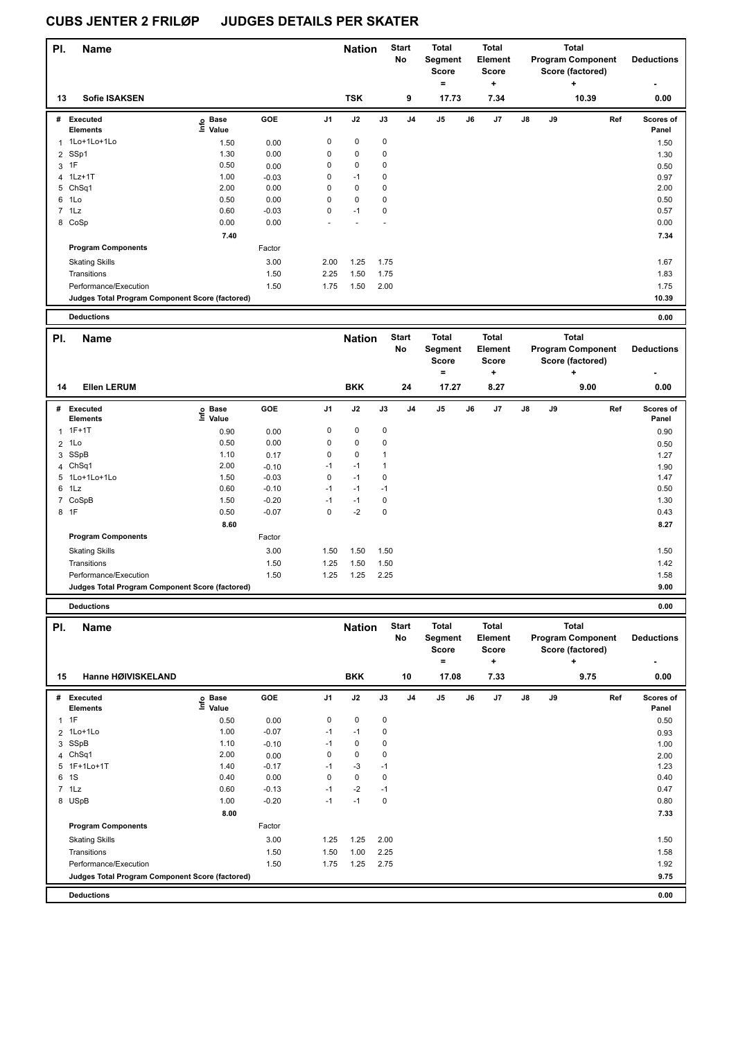| PI.            | <b>Name</b>                                     |                   |         |                | <b>Nation</b> |      | <b>Start</b><br>No | <b>Total</b><br>Segment<br><b>Score</b><br>= |    | <b>Total</b><br>Element<br><b>Score</b><br>÷ |               |    | <b>Total</b><br><b>Program Component</b><br>Score (factored)<br>÷ | <b>Deductions</b>  |
|----------------|-------------------------------------------------|-------------------|---------|----------------|---------------|------|--------------------|----------------------------------------------|----|----------------------------------------------|---------------|----|-------------------------------------------------------------------|--------------------|
| 13             | <b>Sofie ISAKSEN</b>                            |                   |         |                | <b>TSK</b>    |      | 9                  | 17.73                                        |    | 7.34                                         |               |    | 10.39                                                             | 0.00               |
| #              | Executed<br><b>Elements</b>                     | e Base<br>⊆ Value | GOE     | J <sub>1</sub> | J2            | J3   | J <sub>4</sub>     | J <sub>5</sub>                               | J6 | J <sub>7</sub>                               | $\mathsf{J}8$ | J9 | Ref                                                               | Scores of<br>Panel |
| 1              | 1Lo+1Lo+1Lo                                     | 1.50              | 0.00    | 0              | 0             | 0    |                    |                                              |    |                                              |               |    |                                                                   | 1.50               |
| $\overline{2}$ | SSp1                                            | 1.30              | 0.00    | 0              | $\mathbf 0$   | 0    |                    |                                              |    |                                              |               |    |                                                                   | 1.30               |
| 3              | 1F                                              | 0.50              | 0.00    | 0              | $\mathbf 0$   | 0    |                    |                                              |    |                                              |               |    |                                                                   | 0.50               |
|                | 4 1Lz+1T                                        | 1.00              | $-0.03$ | 0              | $-1$          | 0    |                    |                                              |    |                                              |               |    |                                                                   | 0.97               |
|                | 5 ChSq1                                         | 2.00              | 0.00    | 0              | $\mathbf 0$   | 0    |                    |                                              |    |                                              |               |    |                                                                   | 2.00               |
| 6              | 1Lo                                             | 0.50              | 0.00    | 0              | $\mathbf 0$   | 0    |                    |                                              |    |                                              |               |    |                                                                   | 0.50               |
|                | 7 1Lz                                           | 0.60              | $-0.03$ | 0              | $-1$          | 0    |                    |                                              |    |                                              |               |    |                                                                   | 0.57               |
|                | 8 CoSp                                          | 0.00              | 0.00    | ٠              |               |      |                    |                                              |    |                                              |               |    |                                                                   | 0.00               |
|                |                                                 | 7.40              |         |                |               |      |                    |                                              |    |                                              |               |    |                                                                   | 7.34               |
|                | <b>Program Components</b>                       |                   | Factor  |                |               |      |                    |                                              |    |                                              |               |    |                                                                   |                    |
|                | <b>Skating Skills</b>                           |                   | 3.00    | 2.00           | 1.25          | 1.75 |                    |                                              |    |                                              |               |    |                                                                   | 1.67               |
|                | Transitions                                     |                   | 1.50    | 2.25           | 1.50          | 1.75 |                    |                                              |    |                                              |               |    |                                                                   | 1.83               |
|                | Performance/Execution                           |                   | 1.50    | 1.75           | 1.50          | 2.00 |                    |                                              |    |                                              |               |    |                                                                   | 1.75               |
|                | Judges Total Program Component Score (factored) |                   |         |                |               |      |                    |                                              |    |                                              |               |    |                                                                   | 10.39              |
|                | <b>Deductions</b>                               |                   |         |                |               |      |                    |                                              |    |                                              |               |    |                                                                   | 0.00               |

| PI. | <b>Name</b>                                     |                            |            |                | <b>Nation</b> |             | <b>Start</b><br>No | <b>Total</b><br>Segment<br><b>Score</b> |    | <b>Total</b><br>Element<br>Score |               |    | <b>Total</b><br><b>Program Component</b><br>Score (factored) | <b>Deductions</b>         |
|-----|-------------------------------------------------|----------------------------|------------|----------------|---------------|-------------|--------------------|-----------------------------------------|----|----------------------------------|---------------|----|--------------------------------------------------------------|---------------------------|
|     |                                                 |                            |            |                |               |             |                    | $\equiv$                                |    | ٠                                |               |    | ÷                                                            |                           |
| 14  | <b>Ellen LERUM</b>                              |                            |            |                | <b>BKK</b>    |             | 24                 | 17.27                                   |    | 8.27                             |               |    | 9.00                                                         | 0.00                      |
| #   | Executed<br><b>Elements</b>                     | e Base<br>E Value<br>Value | <b>GOE</b> | J <sub>1</sub> | J2            | J3          | J <sub>4</sub>     | J <sub>5</sub>                          | J6 | J7                               | $\mathsf{J}8$ | J9 | Ref                                                          | <b>Scores of</b><br>Panel |
|     | $1.1F+1T$                                       | 0.90                       | 0.00       | 0              | $\pmb{0}$     | 0           |                    |                                         |    |                                  |               |    |                                                              | 0.90                      |
|     | 2 1Lo                                           | 0.50                       | 0.00       | 0              | $\mathbf 0$   | 0           |                    |                                         |    |                                  |               |    |                                                              | 0.50                      |
| 3   | SSpB                                            | 1.10                       | 0.17       | 0              | $\pmb{0}$     |             |                    |                                         |    |                                  |               |    |                                                              | 1.27                      |
|     | 4 ChSq1                                         | 2.00                       | $-0.10$    | $-1$           | $-1$          |             |                    |                                         |    |                                  |               |    |                                                              | 1.90                      |
|     | 5 1Lo+1Lo+1Lo                                   | 1.50                       | $-0.03$    | 0              | $-1$          | 0           |                    |                                         |    |                                  |               |    |                                                              | 1.47                      |
|     | 6 1Lz                                           | 0.60                       | $-0.10$    | $-1$           | $-1$          | $-1$        |                    |                                         |    |                                  |               |    |                                                              | 0.50                      |
|     | 7 CoSpB                                         | 1.50                       | $-0.20$    | $-1$           | $-1$          | 0           |                    |                                         |    |                                  |               |    |                                                              | 1.30                      |
|     | 8 1F                                            | 0.50                       | $-0.07$    | 0              | $-2$          | $\mathbf 0$ |                    |                                         |    |                                  |               |    |                                                              | 0.43                      |
|     |                                                 | 8.60                       |            |                |               |             |                    |                                         |    |                                  |               |    |                                                              | 8.27                      |
|     | <b>Program Components</b>                       |                            | Factor     |                |               |             |                    |                                         |    |                                  |               |    |                                                              |                           |
|     | <b>Skating Skills</b>                           |                            | 3.00       | 1.50           | 1.50          | 1.50        |                    |                                         |    |                                  |               |    |                                                              | 1.50                      |
|     | Transitions                                     |                            | 1.50       | 1.25           | 1.50          | 1.50        |                    |                                         |    |                                  |               |    |                                                              | 1.42                      |
|     | Performance/Execution                           |                            | 1.50       | 1.25           | 1.25          | 2.25        |                    |                                         |    |                                  |               |    |                                                              | 1.58                      |
|     | Judges Total Program Component Score (factored) |                            |            |                |               |             |                    |                                         |    |                                  |               |    |                                                              | 9.00                      |
|     |                                                 |                            |            |                |               |             |                    |                                         |    |                                  |               |    |                                                              |                           |

**Deductions 0.00**

**Name Deductions - Nation** Start Total **Segment Score = Total Element Score + Total Program Component Score (factored) + PI.** Name **Start PI.** Nation Start **No # Executed Elements Base Value GOE J1 J2 J3 J4 J5 J6 J7 J8 J9 Scores of Panel** 1 0.50 0.00 0 0 0 **Ref**  1F 0.50 **Info 15 Hanne HØIVISKELAND BKK 10 17.08 7.33 9.75 0.00** 2 1Lo+1Lo 1.00 -0.07 -1 -1 0 0.93 3 SSpB 1.10 -0.10 -1 0 0 1.00 4 ChSq1 2.00 0.00 0 0 0 2.00 5 1F+1Lo+1T 1.40 -0.17 -1 -3 -1 1.23 6 1S 0.40 0.00 0 0 0 0.40 7 1Lz 0.60 -0.13 -1 -2 -1 0.47 8 USpB 1.00 -0.20 -1 -1 0 0.80  **8.00 7.33 Program Components**  Skating Skills **1.25** 2.00 Factor 3.00 1.50 Transitions 1.50 1.50 1.00 2.25 1.58 Performance/Execution 1.92 1.50 1.75 1.25 2.75 1.92 1.92 1.92 **Deductions 0.00 Judges Total Program Component Score (factored) 9.75**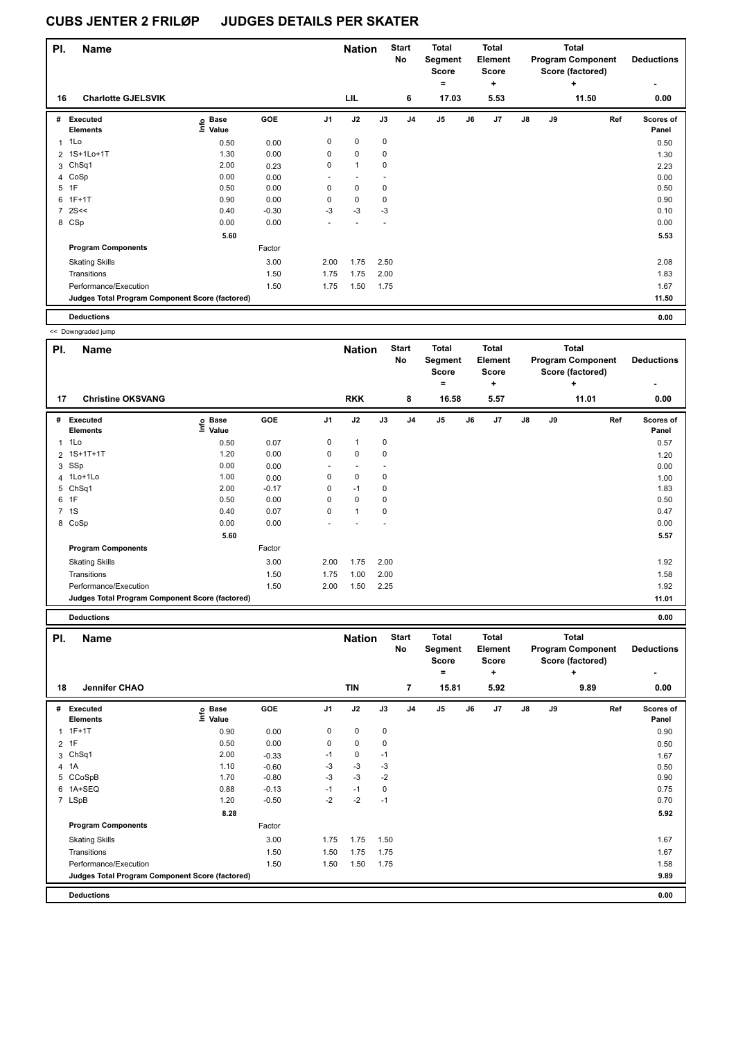| PI.            | <b>Name</b>                                     |                   |         |                | <b>Nation</b> |      | <b>Start</b><br>No | <b>Total</b><br>Segment<br><b>Score</b> |    | <b>Total</b><br>Element<br><b>Score</b> |               |    | <b>Total</b><br><b>Program Component</b><br>Score (factored) | <b>Deductions</b>  |
|----------------|-------------------------------------------------|-------------------|---------|----------------|---------------|------|--------------------|-----------------------------------------|----|-----------------------------------------|---------------|----|--------------------------------------------------------------|--------------------|
|                |                                                 |                   |         |                |               |      |                    | $\equiv$                                |    | ٠                                       |               |    | $\ddot{}$                                                    | ٠                  |
| 16             | <b>Charlotte GJELSVIK</b>                       |                   |         |                | LIL           |      | 6                  | 17.03                                   |    | 5.53                                    |               |    | 11.50                                                        | 0.00               |
| #              | Executed<br><b>Elements</b>                     | e Base<br>⊆ Value | GOE     | J <sub>1</sub> | J2            | J3   | J <sub>4</sub>     | J <sub>5</sub>                          | J6 | J7                                      | $\mathsf{J}8$ | J9 | Ref                                                          | Scores of<br>Panel |
|                | $1$ 1 Lo                                        | 0.50              | 0.00    | 0              | $\mathbf 0$   | 0    |                    |                                         |    |                                         |               |    |                                                              | 0.50               |
|                | 2 1S+1Lo+1T                                     | 1.30              | 0.00    | 0              | $\mathbf 0$   | 0    |                    |                                         |    |                                         |               |    |                                                              | 1.30               |
|                | 3 ChSq1                                         | 2.00              | 0.23    | 0              | $\mathbf{1}$  | 0    |                    |                                         |    |                                         |               |    |                                                              | 2.23               |
|                | 4 CoSp                                          | 0.00              | 0.00    |                |               |      |                    |                                         |    |                                         |               |    |                                                              | 0.00               |
| 5              | 1F                                              | 0.50              | 0.00    | 0              | $\mathbf 0$   | 0    |                    |                                         |    |                                         |               |    |                                                              | 0.50               |
| 6              | $1F+1T$                                         | 0.90              | 0.00    | 0              | $\pmb{0}$     | 0    |                    |                                         |    |                                         |               |    |                                                              | 0.90               |
| $\overline{7}$ | 2S<<                                            | 0.40              | $-0.30$ | $-3$           | $-3$          | $-3$ |                    |                                         |    |                                         |               |    |                                                              | 0.10               |
|                | 8 CSp                                           | 0.00              | 0.00    |                |               |      |                    |                                         |    |                                         |               |    |                                                              | 0.00               |
|                |                                                 | 5.60              |         |                |               |      |                    |                                         |    |                                         |               |    |                                                              | 5.53               |
|                | <b>Program Components</b>                       |                   | Factor  |                |               |      |                    |                                         |    |                                         |               |    |                                                              |                    |
|                | <b>Skating Skills</b>                           |                   | 3.00    | 2.00           | 1.75          | 2.50 |                    |                                         |    |                                         |               |    |                                                              | 2.08               |
|                | Transitions                                     |                   | 1.50    | 1.75           | 1.75          | 2.00 |                    |                                         |    |                                         |               |    |                                                              | 1.83               |
|                | Performance/Execution                           |                   | 1.50    | 1.75           | 1.50          | 1.75 |                    |                                         |    |                                         |               |    |                                                              | 1.67               |
|                | Judges Total Program Component Score (factored) |                   |         |                |               |      |                    |                                         |    |                                         |               |    |                                                              | 11.50              |
|                | <b>Deductions</b>                               |                   |         |                |               |      |                    |                                         |    |                                         |               |    |                                                              | 0.00               |

<< Downgraded jump

| PI. | <b>Name</b>                                     |                                  |         |                | <b>Nation</b>            |      | <b>Start</b><br><b>No</b> | <b>Total</b><br>Segment<br>Score<br>$=$ |    | <b>Total</b><br>Element<br><b>Score</b><br>٠ |               |    | <b>Total</b><br><b>Program Component</b><br>Score (factored)<br>$\ddot{}$ | <b>Deductions</b>         |
|-----|-------------------------------------------------|----------------------------------|---------|----------------|--------------------------|------|---------------------------|-----------------------------------------|----|----------------------------------------------|---------------|----|---------------------------------------------------------------------------|---------------------------|
| 17  | <b>Christine OKSVANG</b>                        |                                  |         |                | <b>RKK</b>               |      | 8                         | 16.58                                   |    | 5.57                                         |               |    | 11.01                                                                     | 0.00                      |
| #   | <b>Executed</b><br><b>Elements</b>              | <b>Base</b><br>e Base<br>≞ Value | GOE     | J <sub>1</sub> | J2                       | J3   | J <sub>4</sub>            | J <sub>5</sub>                          | J6 | J7                                           | $\mathsf{J}8$ | J9 | Ref                                                                       | <b>Scores of</b><br>Panel |
| 1   | 1Lo                                             | 0.50                             | 0.07    | 0              | $\overline{1}$           | 0    |                           |                                         |    |                                              |               |    |                                                                           | 0.57                      |
|     | 2 1S+1T+1T                                      | 1.20                             | 0.00    | 0              | 0                        | 0    |                           |                                         |    |                                              |               |    |                                                                           | 1.20                      |
|     | 3 SSp                                           | 0.00                             | 0.00    | ٠              | $\overline{\phantom{a}}$ |      |                           |                                         |    |                                              |               |    |                                                                           | 0.00                      |
|     | 4 1Lo+1Lo                                       | 1.00                             | 0.00    | 0              | 0                        | 0    |                           |                                         |    |                                              |               |    |                                                                           | 1.00                      |
| 5   | ChSq1                                           | 2.00                             | $-0.17$ | 0              | $-1$                     | 0    |                           |                                         |    |                                              |               |    |                                                                           | 1.83                      |
| 6   | 1F                                              | 0.50                             | 0.00    | 0              | 0                        | 0    |                           |                                         |    |                                              |               |    |                                                                           | 0.50                      |
|     | 7 1S                                            | 0.40                             | 0.07    | 0              | $\overline{1}$           | 0    |                           |                                         |    |                                              |               |    |                                                                           | 0.47                      |
| 8   | CoSp                                            | 0.00                             | 0.00    |                |                          |      |                           |                                         |    |                                              |               |    |                                                                           | 0.00                      |
|     |                                                 | 5.60                             |         |                |                          |      |                           |                                         |    |                                              |               |    |                                                                           | 5.57                      |
|     | <b>Program Components</b>                       |                                  | Factor  |                |                          |      |                           |                                         |    |                                              |               |    |                                                                           |                           |
|     | <b>Skating Skills</b>                           |                                  | 3.00    | 2.00           | 1.75                     | 2.00 |                           |                                         |    |                                              |               |    |                                                                           | 1.92                      |
|     | Transitions                                     |                                  | 1.50    | 1.75           | 1.00                     | 2.00 |                           |                                         |    |                                              |               |    |                                                                           | 1.58                      |
|     | Performance/Execution                           |                                  | 1.50    | 2.00           | 1.50                     | 2.25 |                           |                                         |    |                                              |               |    |                                                                           | 1.92                      |
|     | Judges Total Program Component Score (factored) |                                  |         |                |                          |      |                           |                                         |    |                                              |               |    |                                                                           | 11.01                     |
|     | <b>Deductions</b>                               |                                  |         |                |                          |      |                           |                                         |    |                                              |               |    |                                                                           | 0.00                      |

| PI. | <b>Name</b>                                     |                   |            | <b>Nation</b> |             | <b>Start</b><br>No | <b>Total</b><br>Segment<br><b>Score</b><br>$\equiv$ |       | <b>Total</b><br><b>Element</b><br><b>Score</b><br>٠ |      |               | <b>Total</b><br><b>Program Component</b><br>Score (factored)<br>٠ | <b>Deductions</b><br>٠ |                           |
|-----|-------------------------------------------------|-------------------|------------|---------------|-------------|--------------------|-----------------------------------------------------|-------|-----------------------------------------------------|------|---------------|-------------------------------------------------------------------|------------------------|---------------------------|
| 18  | Jennifer CHAO                                   |                   |            |               | <b>TIN</b>  |                    | $\overline{7}$                                      | 15.81 |                                                     | 5.92 |               |                                                                   | 9.89                   | 0.00                      |
| #   | <b>Executed</b><br><b>Elements</b>              | e Base<br>E Value | <b>GOE</b> | J1            | J2          | J3                 | J <sub>4</sub>                                      | J5    | J6                                                  | J7   | $\mathsf{J}8$ | J9                                                                | Ref                    | <b>Scores of</b><br>Panel |
| 1   | $1F+1T$                                         | 0.90              | 0.00       | 0             | 0           | 0                  |                                                     |       |                                                     |      |               |                                                                   |                        | 0.90                      |
|     | $2$ 1F                                          | 0.50              | 0.00       | 0             | $\mathbf 0$ | 0                  |                                                     |       |                                                     |      |               |                                                                   |                        | 0.50                      |
| 3   | ChSq1                                           | 2.00              | $-0.33$    | $-1$          | 0           | $-1$               |                                                     |       |                                                     |      |               |                                                                   |                        | 1.67                      |
|     | 4 1A                                            | 1.10              | $-0.60$    | -3            | $-3$        | -3                 |                                                     |       |                                                     |      |               |                                                                   |                        | 0.50                      |
|     | 5 CCoSpB                                        | 1.70              | $-0.80$    | $-3$          | $-3$        | $-2$               |                                                     |       |                                                     |      |               |                                                                   |                        | 0.90                      |
| 6   | 1A+SEQ                                          | 0.88              | $-0.13$    | $-1$          | $-1$        | 0                  |                                                     |       |                                                     |      |               |                                                                   |                        | 0.75                      |
|     | 7 LSpB                                          | 1.20              | $-0.50$    | $-2$          | $-2$        | $-1$               |                                                     |       |                                                     |      |               |                                                                   |                        | 0.70                      |
|     |                                                 | 8.28              |            |               |             |                    |                                                     |       |                                                     |      |               |                                                                   |                        | 5.92                      |
|     | <b>Program Components</b>                       |                   | Factor     |               |             |                    |                                                     |       |                                                     |      |               |                                                                   |                        |                           |
|     | <b>Skating Skills</b>                           |                   | 3.00       | 1.75          | 1.75        | 1.50               |                                                     |       |                                                     |      |               |                                                                   |                        | 1.67                      |
|     | Transitions                                     |                   | 1.50       | 1.50          | 1.75        | 1.75               |                                                     |       |                                                     |      |               |                                                                   |                        | 1.67                      |
|     | Performance/Execution                           |                   | 1.50       | 1.50          | 1.50        | 1.75               |                                                     |       |                                                     |      |               |                                                                   |                        | 1.58                      |
|     | Judges Total Program Component Score (factored) |                   |            |               |             |                    |                                                     |       |                                                     |      |               |                                                                   |                        | 9.89                      |
|     | <b>Deductions</b>                               |                   |            |               |             |                    |                                                     |       |                                                     |      |               |                                                                   |                        | 0.00                      |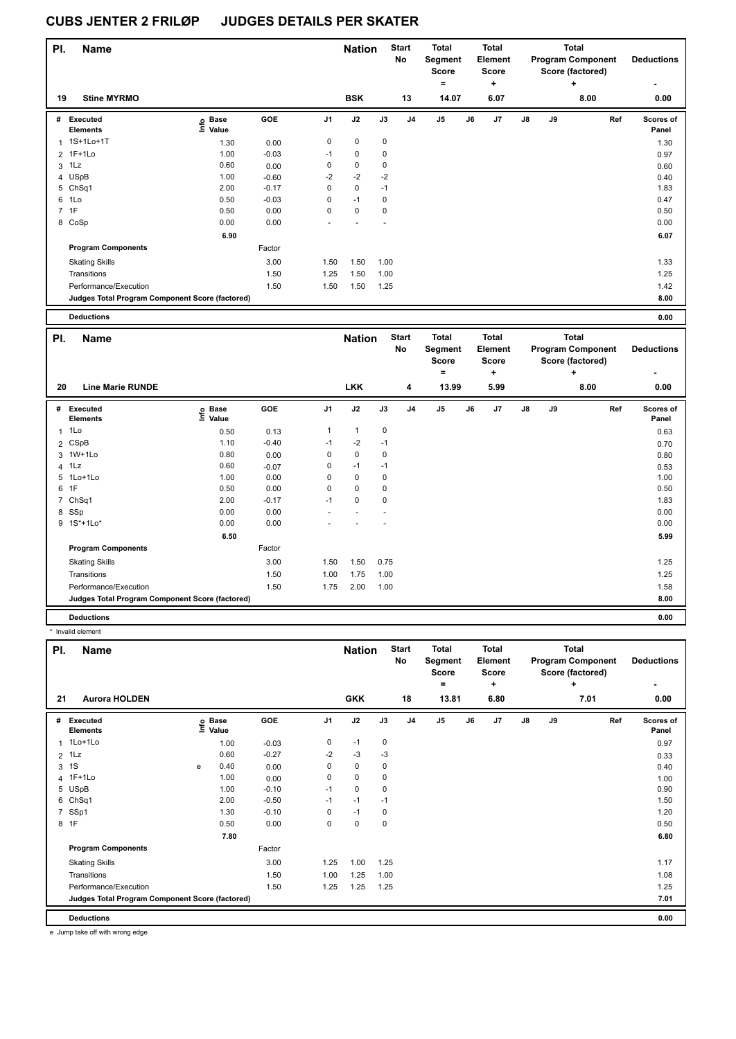| PI. | <b>Name</b>                                     |                                  |            |                | <b>Nation</b> |      | <b>Start</b><br>No | <b>Total</b><br>Segment<br><b>Score</b><br>= |    | <b>Total</b><br>Element<br><b>Score</b><br>٠ |               |    | <b>Total</b><br><b>Program Component</b><br>Score (factored)<br>÷ | <b>Deductions</b>  |
|-----|-------------------------------------------------|----------------------------------|------------|----------------|---------------|------|--------------------|----------------------------------------------|----|----------------------------------------------|---------------|----|-------------------------------------------------------------------|--------------------|
| 19  | <b>Stine MYRMO</b>                              |                                  |            |                | <b>BSK</b>    |      | 13                 | 14.07                                        |    | 6.07                                         |               |    | 8.00                                                              | ٠<br>0.00          |
| #   | Executed<br><b>Elements</b>                     | <b>Base</b><br>o Base<br>⊆ Value | <b>GOE</b> | J <sub>1</sub> | J2            | J3   | J <sub>4</sub>     | J5                                           | J6 | J7                                           | $\mathsf{J}8$ | J9 | Ref                                                               | Scores of<br>Panel |
|     | 1 1S+1Lo+1T                                     | 1.30                             | 0.00       | 0              | $\pmb{0}$     | 0    |                    |                                              |    |                                              |               |    |                                                                   | 1.30               |
|     | 2 1F+1Lo                                        | 1.00                             | $-0.03$    | $-1$           | 0             | 0    |                    |                                              |    |                                              |               |    |                                                                   | 0.97               |
| 3   | 1Lz                                             | 0.60                             | 0.00       | 0              | 0             | 0    |                    |                                              |    |                                              |               |    |                                                                   | 0.60               |
|     | 4 USpB                                          | 1.00                             | $-0.60$    | $-2$           | $-2$          | $-2$ |                    |                                              |    |                                              |               |    |                                                                   | 0.40               |
|     | 5 ChSq1                                         | 2.00                             | $-0.17$    | 0              | $\mathbf 0$   | $-1$ |                    |                                              |    |                                              |               |    |                                                                   | 1.83               |
|     | 6 1Lo                                           | 0.50                             | $-0.03$    | 0              | $-1$          | 0    |                    |                                              |    |                                              |               |    |                                                                   | 0.47               |
|     | 7 1F                                            | 0.50                             | 0.00       | 0              | $\pmb{0}$     | 0    |                    |                                              |    |                                              |               |    |                                                                   | 0.50               |
|     | 8 CoSp                                          | 0.00                             | 0.00       |                |               |      |                    |                                              |    |                                              |               |    |                                                                   | 0.00               |
|     |                                                 | 6.90                             |            |                |               |      |                    |                                              |    |                                              |               |    |                                                                   | 6.07               |
|     | <b>Program Components</b>                       |                                  | Factor     |                |               |      |                    |                                              |    |                                              |               |    |                                                                   |                    |
|     | <b>Skating Skills</b>                           |                                  | 3.00       | 1.50           | 1.50          | 1.00 |                    |                                              |    |                                              |               |    |                                                                   | 1.33               |
|     | Transitions                                     |                                  | 1.50       | 1.25           | 1.50          | 1.00 |                    |                                              |    |                                              |               |    |                                                                   | 1.25               |
|     | Performance/Execution                           |                                  | 1.50       | 1.50           | 1.50          | 1.25 |                    |                                              |    |                                              |               |    |                                                                   | 1.42               |
|     | Judges Total Program Component Score (factored) |                                  |            |                |               |      |                    |                                              |    |                                              |               |    |                                                                   | 8.00               |
|     | <b>Deductions</b>                               |                                  |            |                |               |      |                    |                                              |    |                                              |               |    |                                                                   | 0.00               |

| 0.00 |
|------|
|      |

| PI.            | Name                                            |                            |         |                | <b>Nation</b> |             | <b>Start</b><br>No | <b>Total</b><br>Segment<br><b>Score</b> |    | <b>Total</b><br>Element<br><b>Score</b> |               |    | Total<br><b>Program Component</b><br>Score (factored) | <b>Deductions</b>  |
|----------------|-------------------------------------------------|----------------------------|---------|----------------|---------------|-------------|--------------------|-----------------------------------------|----|-----------------------------------------|---------------|----|-------------------------------------------------------|--------------------|
|                |                                                 |                            |         |                |               |             |                    | $=$                                     |    | ÷                                       |               |    | ÷                                                     | ۰                  |
| 20             | <b>Line Marie RUNDE</b>                         |                            |         |                | <b>LKK</b>    |             | 4                  | 13.99                                   |    | 5.99                                    |               |    | 8.00                                                  | 0.00               |
| #              | Executed<br><b>Elements</b>                     | e Base<br>⊆ Value<br>Value | GOE     | J <sub>1</sub> | J2            | J3          | J <sub>4</sub>     | J <sub>5</sub>                          | J6 | J <sub>7</sub>                          | $\mathsf{J}8$ | J9 | Ref                                                   | Scores of<br>Panel |
| $\mathbf{1}$   | 1Lo                                             | 0.50                       | 0.13    | 1              | $\mathbf{1}$  | 0           |                    |                                         |    |                                         |               |    |                                                       | 0.63               |
|                | 2 CSpB                                          | 1.10                       | $-0.40$ | $-1$           | $-2$          | $-1$        |                    |                                         |    |                                         |               |    |                                                       | 0.70               |
|                | 3 1W+1Lo                                        | 0.80                       | 0.00    | 0              | 0             | $\mathbf 0$ |                    |                                         |    |                                         |               |    |                                                       | 0.80               |
| $\overline{4}$ | 1Lz                                             | 0.60                       | $-0.07$ | 0              | $-1$          | $-1$        |                    |                                         |    |                                         |               |    |                                                       | 0.53               |
| 5              | $1$ Lo $+1$ Lo                                  | 1.00                       | 0.00    | 0              | 0             | $\mathbf 0$ |                    |                                         |    |                                         |               |    |                                                       | 1.00               |
| 6              | 1F                                              | 0.50                       | 0.00    | $\Omega$       | $\Omega$      | $\mathbf 0$ |                    |                                         |    |                                         |               |    |                                                       | 0.50               |
| $\overline{7}$ | ChSq1                                           | 2.00                       | $-0.17$ | $-1$           | 0             | $\mathbf 0$ |                    |                                         |    |                                         |               |    |                                                       | 1.83               |
|                | 8 SSp                                           | 0.00                       | 0.00    |                |               |             |                    |                                         |    |                                         |               |    |                                                       | 0.00               |
|                | 9 1S*+1Lo*                                      | 0.00                       | 0.00    |                |               |             |                    |                                         |    |                                         |               |    |                                                       | 0.00               |
|                |                                                 | 6.50                       |         |                |               |             |                    |                                         |    |                                         |               |    |                                                       | 5.99               |
|                | <b>Program Components</b>                       |                            | Factor  |                |               |             |                    |                                         |    |                                         |               |    |                                                       |                    |
|                | <b>Skating Skills</b>                           |                            | 3.00    | 1.50           | 1.50          | 0.75        |                    |                                         |    |                                         |               |    |                                                       | 1.25               |
|                | Transitions                                     |                            | 1.50    | 1.00           | 1.75          | 1.00        |                    |                                         |    |                                         |               |    |                                                       | 1.25               |
|                | Performance/Execution                           |                            | 1.50    | 1.75           | 2.00          | 1.00        |                    |                                         |    |                                         |               |    |                                                       | 1.58               |
|                | Judges Total Program Component Score (factored) |                            |         |                |               |             |                    |                                         |    |                                         |               |    |                                                       | 8.00               |
|                | <b>Deductions</b>                               |                            |         |                |               |             |                    |                                         |    |                                         |               |    |                                                       | 0.00               |

\* Invalid element

| PI.            | Name                                            |      |                      |         |                | <b>Nation</b> |             | <b>Start</b><br>No | Total<br>Segment<br><b>Score</b> |    | <b>Total</b><br>Element<br><b>Score</b> |    |    | <b>Total</b><br><b>Program Component</b><br>Score (factored) | <b>Deductions</b>         |
|----------------|-------------------------------------------------|------|----------------------|---------|----------------|---------------|-------------|--------------------|----------------------------------|----|-----------------------------------------|----|----|--------------------------------------------------------------|---------------------------|
| 21             | <b>Aurora HOLDEN</b>                            |      |                      |         |                | <b>GKK</b>    |             | 18                 | $=$<br>13.81                     |    | ÷<br>6.80                               |    |    | ÷<br>7.01                                                    | ٠<br>0.00                 |
|                |                                                 |      |                      |         |                |               |             |                    |                                  |    |                                         |    |    |                                                              |                           |
| #              | Executed<br><b>Elements</b>                     | Info | <b>Base</b><br>Value | GOE     | J <sub>1</sub> | J2            | J3          | J <sub>4</sub>     | J <sub>5</sub>                   | J6 | J7                                      | J8 | J9 | Ref                                                          | <b>Scores of</b><br>Panel |
| 1              | 1Lo+1Lo                                         |      | 1.00                 | $-0.03$ | 0              | $-1$          | 0           |                    |                                  |    |                                         |    |    |                                                              | 0.97                      |
| $\overline{2}$ | 1Lz                                             |      | 0.60                 | $-0.27$ | $-2$           | $-3$          | $-3$        |                    |                                  |    |                                         |    |    |                                                              | 0.33                      |
| 3              | 1S                                              | e    | 0.40                 | 0.00    | 0              | $\mathbf 0$   | 0           |                    |                                  |    |                                         |    |    |                                                              | 0.40                      |
|                | 4 1F+1Lo                                        |      | 1.00                 | 0.00    | 0              | $\mathbf 0$   | 0           |                    |                                  |    |                                         |    |    |                                                              | 1.00                      |
|                | 5 USpB                                          |      | 1.00                 | $-0.10$ | $-1$           | $\mathbf 0$   | 0           |                    |                                  |    |                                         |    |    |                                                              | 0.90                      |
|                | 6 ChSq1                                         |      | 2.00                 | $-0.50$ | $-1$           | $-1$          | $-1$        |                    |                                  |    |                                         |    |    |                                                              | 1.50                      |
| $\overline{7}$ | SSp1                                            |      | 1.30                 | $-0.10$ | 0              | $-1$          | 0           |                    |                                  |    |                                         |    |    |                                                              | 1.20                      |
|                | 8 1F                                            |      | 0.50                 | 0.00    | 0              | $\mathbf 0$   | $\mathbf 0$ |                    |                                  |    |                                         |    |    |                                                              | 0.50                      |
|                |                                                 |      | 7.80                 |         |                |               |             |                    |                                  |    |                                         |    |    |                                                              | 6.80                      |
|                | <b>Program Components</b>                       |      |                      | Factor  |                |               |             |                    |                                  |    |                                         |    |    |                                                              |                           |
|                | <b>Skating Skills</b>                           |      |                      | 3.00    | 1.25           | 1.00          | 1.25        |                    |                                  |    |                                         |    |    |                                                              | 1.17                      |
|                | Transitions                                     |      |                      | 1.50    | 1.00           | 1.25          | 1.00        |                    |                                  |    |                                         |    |    |                                                              | 1.08                      |
|                | Performance/Execution                           |      |                      | 1.50    | 1.25           | 1.25          | 1.25        |                    |                                  |    |                                         |    |    |                                                              | 1.25                      |
|                | Judges Total Program Component Score (factored) |      |                      |         |                |               |             |                    |                                  |    |                                         |    |    |                                                              | 7.01                      |
|                | <b>Deductions</b>                               |      |                      |         |                |               |             |                    |                                  |    |                                         |    |    |                                                              | 0.00                      |

e Jump take off with wrong edge